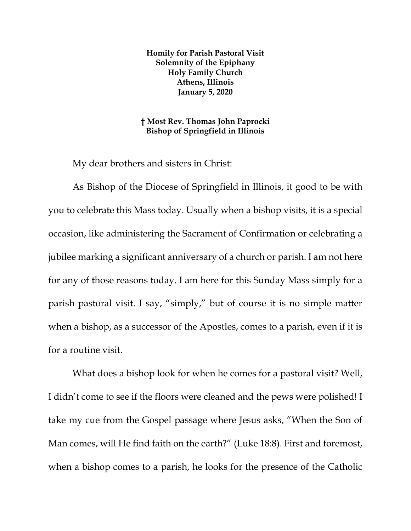**Homily for Parish Pastoral Visit Solemnity of the Epiphany Holy Family Church Athens, Illinois January 5, 2020**

**† Most Rev. Thomas John Paprocki Bishop of Springfield in Illinois**

My dear brothers and sisters in Christ:

As Bishop of the Diocese of Springfield in Illinois, it good to be with you to celebrate this Mass today. Usually when a bishop visits, it is a special occasion, like administering the Sacrament of Confirmation or celebrating a jubilee marking a significant anniversary of a church or parish. I am not here for any of those reasons today. I am here for this Sunday Mass simply for a parish pastoral visit. I say, "simply," but of course it is no simple matter when a bishop, as a successor of the Apostles, comes to a parish, even if it is for a routine visit.

What does a bishop look for when he comes for a pastoral visit? Well, I didn't come to see if the floors were cleaned and the pews were polished! I take my cue from the Gospel passage where Jesus asks, "When the Son of Man comes, will He find faith on the earth?" (Luke 18:8). First and foremost, when a bishop comes to a parish, he looks for the presence of the Catholic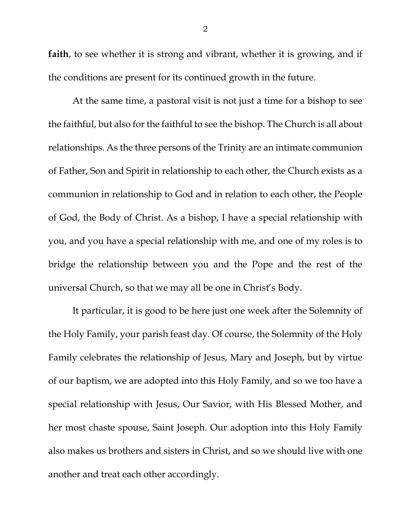**faith**, to see whether it is strong and vibrant, whether it is growing, and if the conditions are present for its continued growth in the future.

At the same time, a pastoral visit is not just a time for a bishop to see the faithful, but also for the faithful to see the bishop. The Church is all about relationships. As the three persons of the Trinity are an intimate communion of Father, Son and Spirit in relationship to each other, the Church exists as a communion in relationship to God and in relation to each other, the People of God, the Body of Christ. As a bishop, I have a special relationship with you, and you have a special relationship with me, and one of my roles is to bridge the relationship between you and the Pope and the rest of the universal Church, so that we may all be one in Christ's Body.

It particular, it is good to be here just one week after the Solemnity of the Holy Family, your parish feast day. Of course, the Solemnity of the Holy Family celebrates the relationship of Jesus, Mary and Joseph, but by virtue of our baptism, we are adopted into this Holy Family, and so we too have a special relationship with Jesus, Our Savior, with His Blessed Mother, and her most chaste spouse, Saint Joseph. Our adoption into this Holy Family also makes us brothers and sisters in Christ, and so we should live with one another and treat each other accordingly.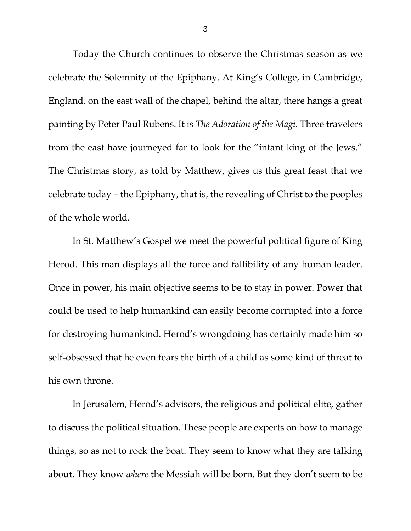Today the Church continues to observe the Christmas season as we celebrate the Solemnity of the Epiphany. At King's College, in Cambridge, England, on the east wall of the chapel, behind the altar, there hangs a great painting by Peter Paul Rubens. It is *The Adoration of the Magi.* Three travelers from the east have journeyed far to look for the "infant king of the Jews." The Christmas story, as told by Matthew, gives us this great feast that we celebrate today – the Epiphany, that is, the revealing of Christ to the peoples of the whole world.

In St. Matthew's Gospel we meet the powerful political figure of King Herod. This man displays all the force and fallibility of any human leader. Once in power, his main objective seems to be to stay in power. Power that could be used to help humankind can easily become corrupted into a force for destroying humankind. Herod's wrongdoing has certainly made him so self-obsessed that he even fears the birth of a child as some kind of threat to his own throne.

In Jerusalem, Herod's advisors, the religious and political elite, gather to discuss the political situation. These people are experts on how to manage things, so as not to rock the boat. They seem to know what they are talking about. They know *where* the Messiah will be born. But they don't seem to be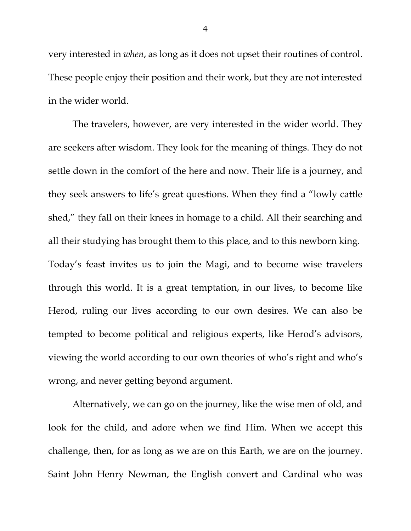very interested in *when*, as long as it does not upset their routines of control. These people enjoy their position and their work, but they are not interested in the wider world.

The travelers, however, are very interested in the wider world. They are seekers after wisdom. They look for the meaning of things. They do not settle down in the comfort of the here and now. Their life is a journey, and they seek answers to life's great questions. When they find a "lowly cattle shed," they fall on their knees in homage to a child. All their searching and all their studying has brought them to this place, and to this newborn king. Today's feast invites us to join the Magi, and to become wise travelers through this world. It is a great temptation, in our lives, to become like Herod, ruling our lives according to our own desires. We can also be tempted to become political and religious experts, like Herod's advisors, viewing the world according to our own theories of who's right and who's wrong, and never getting beyond argument.

Alternatively, we can go on the journey, like the wise men of old, and look for the child, and adore when we find Him. When we accept this challenge, then, for as long as we are on this Earth, we are on the journey. Saint John Henry Newman, the English convert and Cardinal who was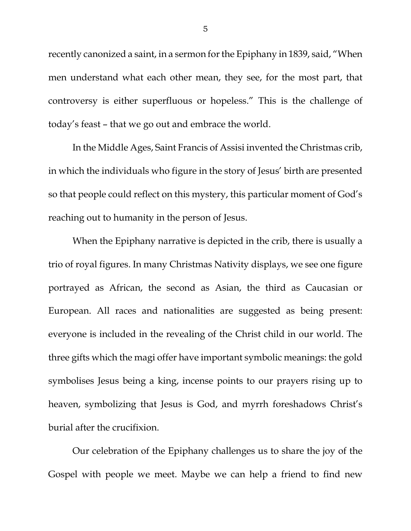recently canonized a saint, in a sermon for the Epiphany in 1839, said, "When men understand what each other mean, they see, for the most part, that controversy is either superfluous or hopeless." This is the challenge of today's feast – that we go out and embrace the world.

In the Middle Ages, Saint Francis of Assisi invented the Christmas crib, in which the individuals who figure in the story of Jesus' birth are presented so that people could reflect on this mystery, this particular moment of God's reaching out to humanity in the person of Jesus.

When the Epiphany narrative is depicted in the crib, there is usually a trio of royal figures. In many Christmas Nativity displays, we see one figure portrayed as African, the second as Asian, the third as Caucasian or European. All races and nationalities are suggested as being present: everyone is included in the revealing of the Christ child in our world. The three gifts which the magi offer have important symbolic meanings: the gold symbolises Jesus being a king, incense points to our prayers rising up to heaven, symbolizing that Jesus is God, and myrrh foreshadows Christ's burial after the crucifixion.

Our celebration of the Epiphany challenges us to share the joy of the Gospel with people we meet. Maybe we can help a friend to find new